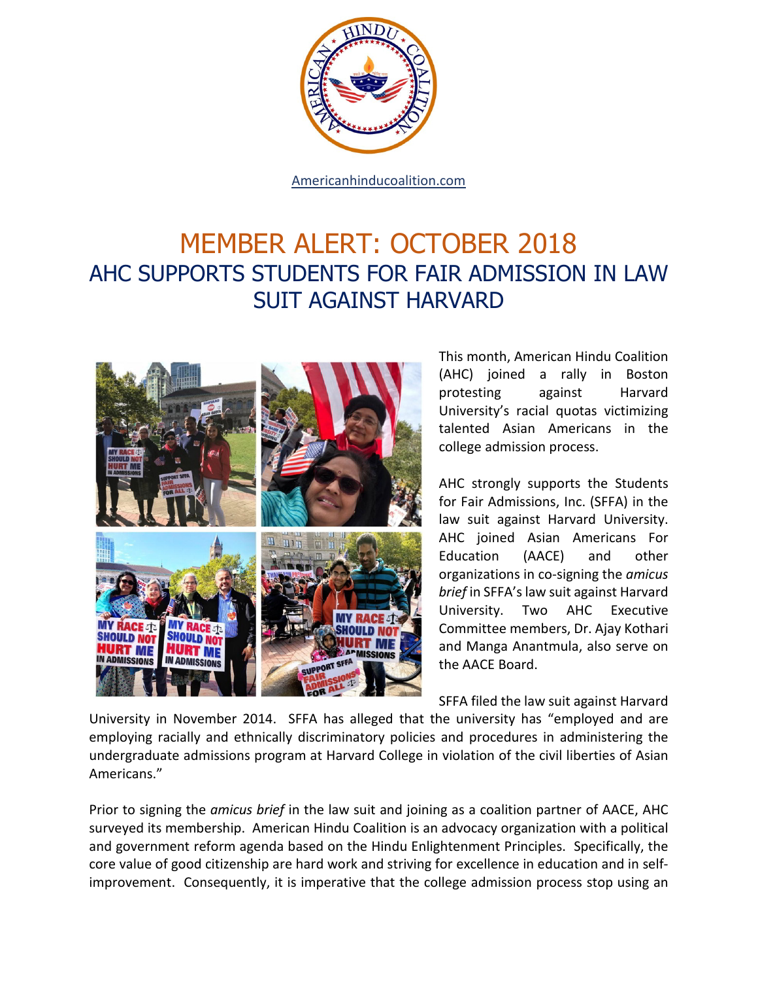

Americanhinducoalition.com

## MEMBER ALERT: OCTOBER 2018 AHC SUPPORTS STUDENTS FOR FAIR ADMISSION IN LAW SUIT AGAINST HARVARD



This month, American Hindu Coalition (AHC) joined a rally in Boston protesting against Harvard University's racial quotas victimizing talented Asian Americans in the college admission process.

AHC strongly supports the Students for Fair Admissions, Inc. (SFFA) in the law suit against Harvard University. AHC joined Asian Americans For Education (AACE) and other organizations in co-signing the *amicus brief* in SFFA's law suit against Harvard University. Two AHC Executive Committee members, Dr. Ajay Kothari and Manga Anantmula, also serve on the AACE Board.

SFFA filed the law suit against Harvard

University in November 2014. SFFA has alleged that the university has "employed and are employing racially and ethnically discriminatory policies and procedures in administering the undergraduate admissions program at Harvard College in violation of the civil liberties of Asian Americans."

Prior to signing the *amicus brief* in the law suit and joining as a coalition partner of AACE, AHC surveyed its membership. American Hindu Coalition is an advocacy organization with a political and government reform agenda based on the Hindu Enlightenment Principles. Specifically, the core value of good citizenship are hard work and striving for excellence in education and in selfimprovement. Consequently, it is imperative that the college admission process stop using an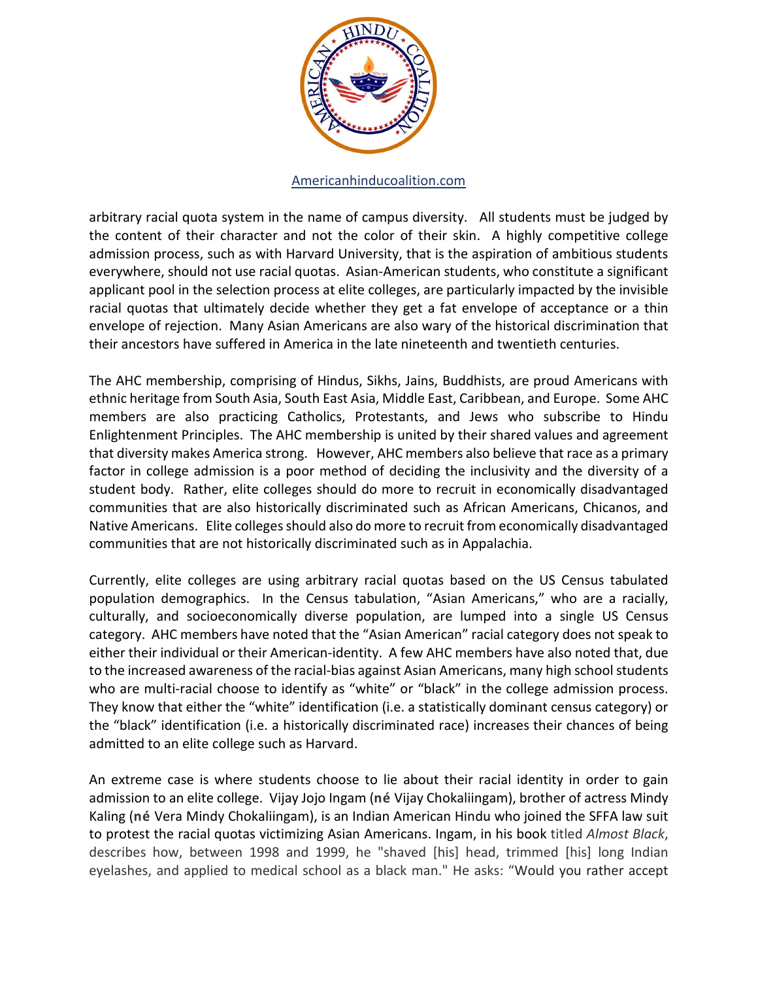

Americanhinducoalition.com

arbitrary racial quota system in the name of campus diversity. All students must be judged by the content of their character and not the color of their skin. A highly competitive college admission process, such as with Harvard University, that is the aspiration of ambitious students everywhere, should not use racial quotas. Asian-American students, who constitute a significant applicant pool in the selection process at elite colleges, are particularly impacted by the invisible racial quotas that ultimately decide whether they get a fat envelope of acceptance or a thin envelope of rejection. Many Asian Americans are also wary of the historical discrimination that their ancestors have suffered in America in the late nineteenth and twentieth centuries.

The AHC membership, comprising of Hindus, Sikhs, Jains, Buddhists, are proud Americans with ethnic heritage from South Asia, South East Asia, Middle East, Caribbean, and Europe. Some AHC members are also practicing Catholics, Protestants, and Jews who subscribe to Hindu Enlightenment Principles. The AHC membership is united by their shared values and agreement that diversity makes America strong. However, AHC members also believe that race as a primary factor in college admission is a poor method of deciding the inclusivity and the diversity of a student body. Rather, elite colleges should do more to recruit in economically disadvantaged communities that are also historically discriminated such as African Americans, Chicanos, and Native Americans. Elite colleges should also do more to recruit from economically disadvantaged communities that are not historically discriminated such as in Appalachia.

Currently, elite colleges are using arbitrary racial quotas based on the US Census tabulated population demographics. In the Census tabulation, "Asian Americans," who are a racially, culturally, and socioeconomically diverse population, are lumped into a single US Census category. AHC members have noted that the "Asian American" racial category does not speak to either their individual or their American-identity. A few AHC members have also noted that, due to the increased awareness of the racial-bias against Asian Americans, many high school students who are multi-racial choose to identify as "white" or "black" in the college admission process. They know that either the "white" identification (i.e. a statistically dominant census category) or the "black" identification (i.e. a historically discriminated race) increases their chances of being admitted to an elite college such as Harvard.

An extreme case is where students choose to lie about their racial identity in order to gain admission to an elite college. Vijay Jojo Ingam (**né** Vijay Chokaliingam), brother of actress Mindy Kaling (**né** Vera Mindy Chokaliingam), is an Indian American Hindu who joined the SFFA law suit to protest the racial quotas victimizing Asian Americans. Ingam, in his book titled *Almost Black*, describes how, between 1998 and 1999, he "shaved [his] head, trimmed [his] long Indian eyelashes, and applied to medical school as a black man." He asks: "Would you rather accept